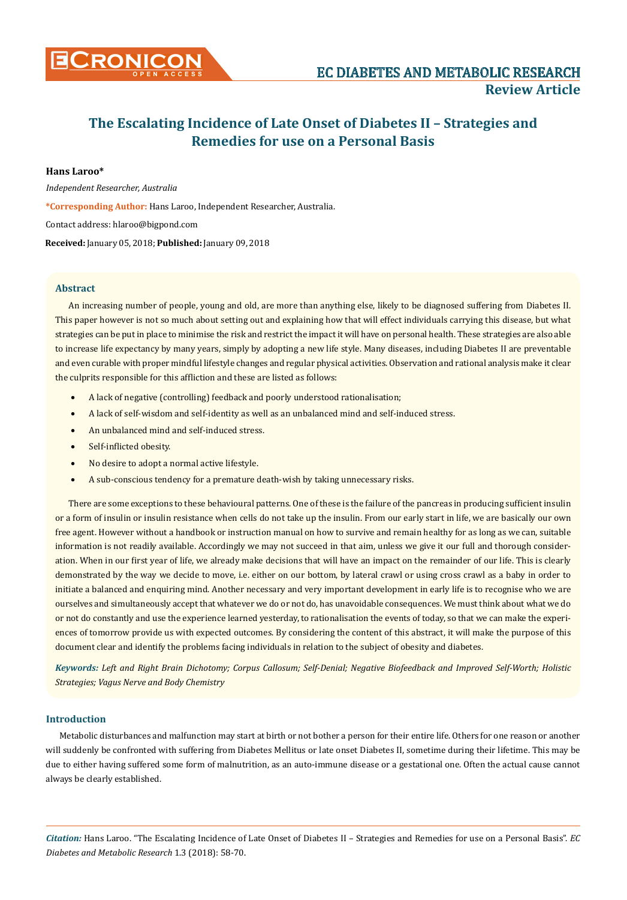

# **The Escalating Incidence of Late Onset of Diabetes II – Strategies and Remedies for use on a Personal Basis**

# **Hans Laroo\***

*Independent Researcher, Australia* **\*Corresponding Author:** Hans Laroo, Independent Researcher, Australia. Contact address: [hlaroo@bigpond.com](mailto:hlaroo@bigpond.com)

**Received:** January 05, 2018; **Published:** January 09, 2018

# **Abstract**

An increasing number of people, young and old, are more than anything else, likely to be diagnosed suffering from Diabetes II. This paper however is not so much about setting out and explaining how that will effect individuals carrying this disease, but what strategies can be put in place to minimise the risk and restrict the impact it will have on personal health. These strategies are also able to increase life expectancy by many years, simply by adopting a new life style. Many diseases, including Diabetes II are preventable and even curable with proper mindful lifestyle changes and regular physical activities. Observation and rational analysis make it clear the culprits responsible for this affliction and these are listed as follows:

- A lack of negative (controlling) feedback and poorly understood rationalisation;
- A lack of self-wisdom and self-identity as well as an unbalanced mind and self-induced stress.
- An unbalanced mind and self-induced stress.
- Self-inflicted obesity.
- No desire to adopt a normal active lifestyle.
- A sub-conscious tendency for a premature death-wish by taking unnecessary risks.

There are some exceptions to these behavioural patterns. One of these is the failure of the pancreas in producing sufficient insulin or a form of insulin or insulin resistance when cells do not take up the insulin. From our early start in life, we are basically our own free agent. However without a handbook or instruction manual on how to survive and remain healthy for as long as we can, suitable information is not readily available. Accordingly we may not succeed in that aim, unless we give it our full and thorough consideration. When in our first year of life, we already make decisions that will have an impact on the remainder of our life. This is clearly demonstrated by the way we decide to move, i.e. either on our bottom, by lateral crawl or using cross crawl as a baby in order to initiate a balanced and enquiring mind. Another necessary and very important development in early life is to recognise who we are ourselves and simultaneously accept that whatever we do or not do, has unavoidable consequences. We must think about what we do or not do constantly and use the experience learned yesterday, to rationalisation the events of today, so that we can make the experiences of tomorrow provide us with expected outcomes. By considering the content of this abstract, it will make the purpose of this document clear and identify the problems facing individuals in relation to the subject of obesity and diabetes.

*Keywords: Left and Right Brain Dichotomy; Corpus Callosum; Self-Denial; Negative Biofeedback and Improved Self-Worth; Holistic Strategies; Vagus Nerve and Body Chemistry*

# **Introduction**

Metabolic disturbances and malfunction may start at birth or not bother a person for their entire life. Others for one reason or another will suddenly be confronted with suffering from Diabetes Mellitus or late onset Diabetes II, sometime during their lifetime. This may be due to either having suffered some form of malnutrition, as an auto-immune disease or a gestational one. Often the actual cause cannot always be clearly established.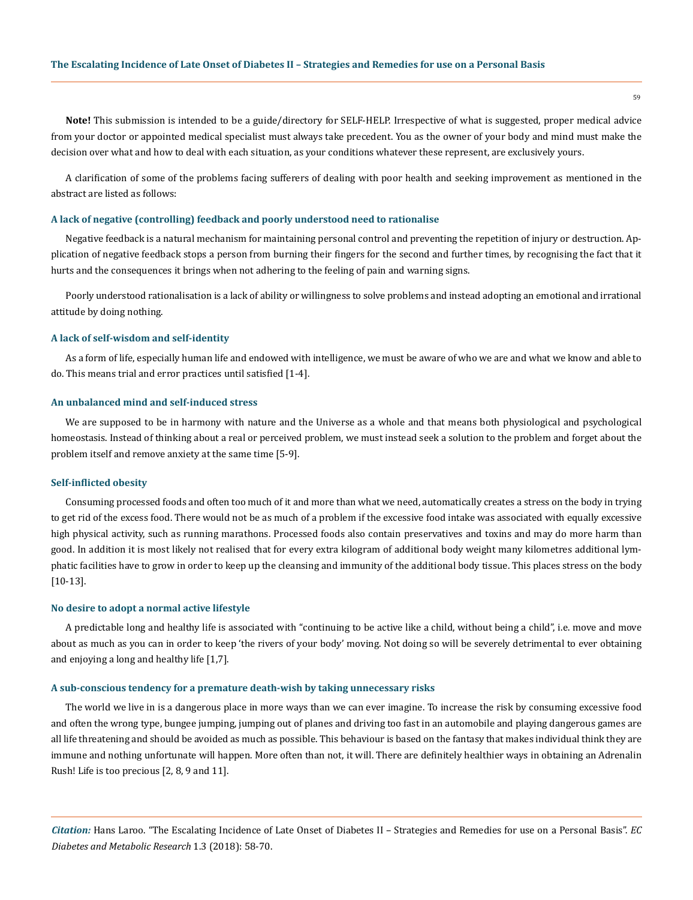**Note!** This submission is intended to be a guide/directory for SELF-HELP. Irrespective of what is suggested, proper medical advice from your doctor or appointed medical specialist must always take precedent. You as the owner of your body and mind must make the decision over what and how to deal with each situation, as your conditions whatever these represent, are exclusively yours.

A clarification of some of the problems facing sufferers of dealing with poor health and seeking improvement as mentioned in the abstract are listed as follows:

#### **A lack of negative (controlling) feedback and poorly understood need to rationalise**

Negative feedback is a natural mechanism for maintaining personal control and preventing the repetition of injury or destruction. Application of negative feedback stops a person from burning their fingers for the second and further times, by recognising the fact that it hurts and the consequences it brings when not adhering to the feeling of pain and warning signs.

Poorly understood rationalisation is a lack of ability or willingness to solve problems and instead adopting an emotional and irrational attitude by doing nothing.

#### **A lack of self-wisdom and self-identity**

As a form of life, especially human life and endowed with intelligence, we must be aware of who we are and what we know and able to do. This means trial and error practices until satisfied [1-4].

#### **An unbalanced mind and self-induced stress**

We are supposed to be in harmony with nature and the Universe as a whole and that means both physiological and psychological homeostasis. Instead of thinking about a real or perceived problem, we must instead seek a solution to the problem and forget about the problem itself and remove anxiety at the same time [5-9].

#### **Self-inflicted obesity**

Consuming processed foods and often too much of it and more than what we need, automatically creates a stress on the body in trying to get rid of the excess food. There would not be as much of a problem if the excessive food intake was associated with equally excessive high physical activity, such as running marathons. Processed foods also contain preservatives and toxins and may do more harm than good. In addition it is most likely not realised that for every extra kilogram of additional body weight many kilometres additional lymphatic facilities have to grow in order to keep up the cleansing and immunity of the additional body tissue. This places stress on the body [10-13].

#### **No desire to adopt a normal active lifestyle**

A predictable long and healthy life is associated with "continuing to be active like a child, without being a child", i.e. move and move about as much as you can in order to keep 'the rivers of your body' moving. Not doing so will be severely detrimental to ever obtaining and enjoying a long and healthy life [1,7].

#### **A sub-conscious tendency for a premature death-wish by taking unnecessary risks**

The world we live in is a dangerous place in more ways than we can ever imagine. To increase the risk by consuming excessive food and often the wrong type, bungee jumping, jumping out of planes and driving too fast in an automobile and playing dangerous games are all life threatening and should be avoided as much as possible. This behaviour is based on the fantasy that makes individual think they are immune and nothing unfortunate will happen. More often than not, it will. There are definitely healthier ways in obtaining an Adrenalin Rush! Life is too precious [2, 8, 9 and 11].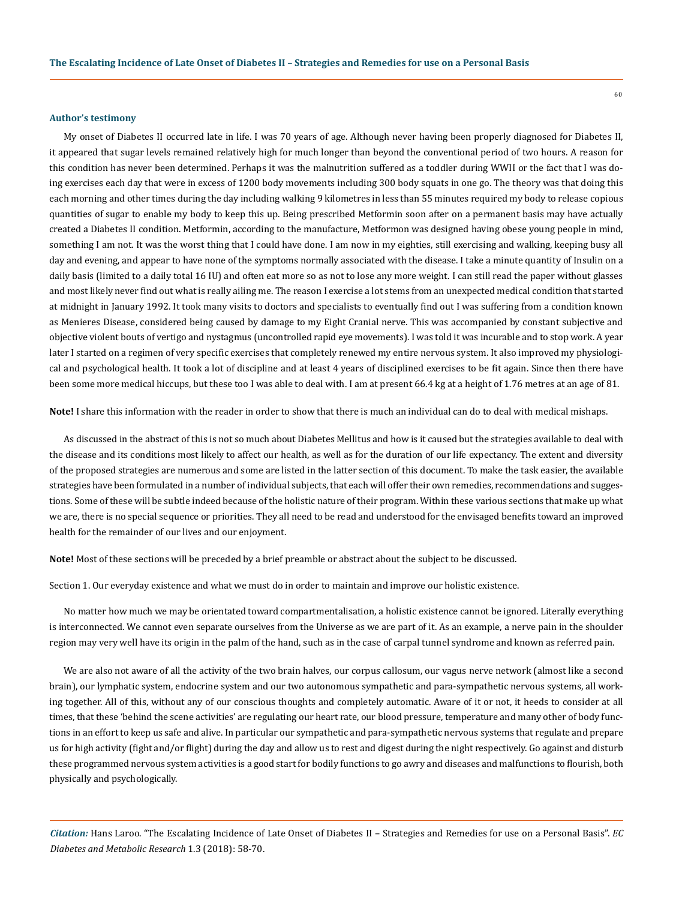#### **Author's testimony**

My onset of Diabetes II occurred late in life. I was 70 years of age. Although never having been properly diagnosed for Diabetes II, it appeared that sugar levels remained relatively high for much longer than beyond the conventional period of two hours. A reason for this condition has never been determined. Perhaps it was the malnutrition suffered as a toddler during WWII or the fact that I was doing exercises each day that were in excess of 1200 body movements including 300 body squats in one go. The theory was that doing this each morning and other times during the day including walking 9 kilometres in less than 55 minutes required my body to release copious quantities of sugar to enable my body to keep this up. Being prescribed Metformin soon after on a permanent basis may have actually created a Diabetes II condition. Metformin, according to the manufacture, Metformon was designed having obese young people in mind, something I am not. It was the worst thing that I could have done. I am now in my eighties, still exercising and walking, keeping busy all day and evening, and appear to have none of the symptoms normally associated with the disease. I take a minute quantity of Insulin on a daily basis (limited to a daily total 16 IU) and often eat more so as not to lose any more weight. I can still read the paper without glasses and most likely never find out what is really ailing me. The reason I exercise a lot stems from an unexpected medical condition that started at midnight in January 1992. It took many visits to doctors and specialists to eventually find out I was suffering from a condition known as Menieres Disease, considered being caused by damage to my Eight Cranial nerve. This was accompanied by constant subjective and objective violent bouts of vertigo and nystagmus (uncontrolled rapid eye movements). I was told it was incurable and to stop work. A year later I started on a regimen of very specific exercises that completely renewed my entire nervous system. It also improved my physiological and psychological health. It took a lot of discipline and at least 4 years of disciplined exercises to be fit again. Since then there have been some more medical hiccups, but these too I was able to deal with. I am at present 66.4 kg at a height of 1.76 metres at an age of 81.

**Note!** I share this information with the reader in order to show that there is much an individual can do to deal with medical mishaps.

As discussed in the abstract of this is not so much about Diabetes Mellitus and how is it caused but the strategies available to deal with the disease and its conditions most likely to affect our health, as well as for the duration of our life expectancy. The extent and diversity of the proposed strategies are numerous and some are listed in the latter section of this document. To make the task easier, the available strategies have been formulated in a number of individual subjects, that each will offer their own remedies, recommendations and suggestions. Some of these will be subtle indeed because of the holistic nature of their program. Within these various sections that make up what we are, there is no special sequence or priorities. They all need to be read and understood for the envisaged benefits toward an improved health for the remainder of our lives and our enjoyment.

**Note!** Most of these sections will be preceded by a brief preamble or abstract about the subject to be discussed.

Section 1. Our everyday existence and what we must do in order to maintain and improve our holistic existence.

No matter how much we may be orientated toward compartmentalisation, a holistic existence cannot be ignored. Literally everything is interconnected. We cannot even separate ourselves from the Universe as we are part of it. As an example, a nerve pain in the shoulder region may very well have its origin in the palm of the hand, such as in the case of carpal tunnel syndrome and known as referred pain.

We are also not aware of all the activity of the two brain halves, our corpus callosum, our vagus nerve network (almost like a second brain), our lymphatic system, endocrine system and our two autonomous sympathetic and para-sympathetic nervous systems, all working together. All of this, without any of our conscious thoughts and completely automatic. Aware of it or not, it heeds to consider at all times, that these 'behind the scene activities' are regulating our heart rate, our blood pressure, temperature and many other of body functions in an effort to keep us safe and alive. In particular our sympathetic and para-sympathetic nervous systems that regulate and prepare us for high activity (fight and/or flight) during the day and allow us to rest and digest during the night respectively. Go against and disturb these programmed nervous system activities is a good start for bodily functions to go awry and diseases and malfunctions to flourish, both physically and psychologically.

*Citation:* Hans Laroo. "The Escalating Incidence of Late Onset of Diabetes II – Strategies and Remedies for use on a Personal Basis". *EC Diabetes and Metabolic Research* 1.3 (2018): 58-70.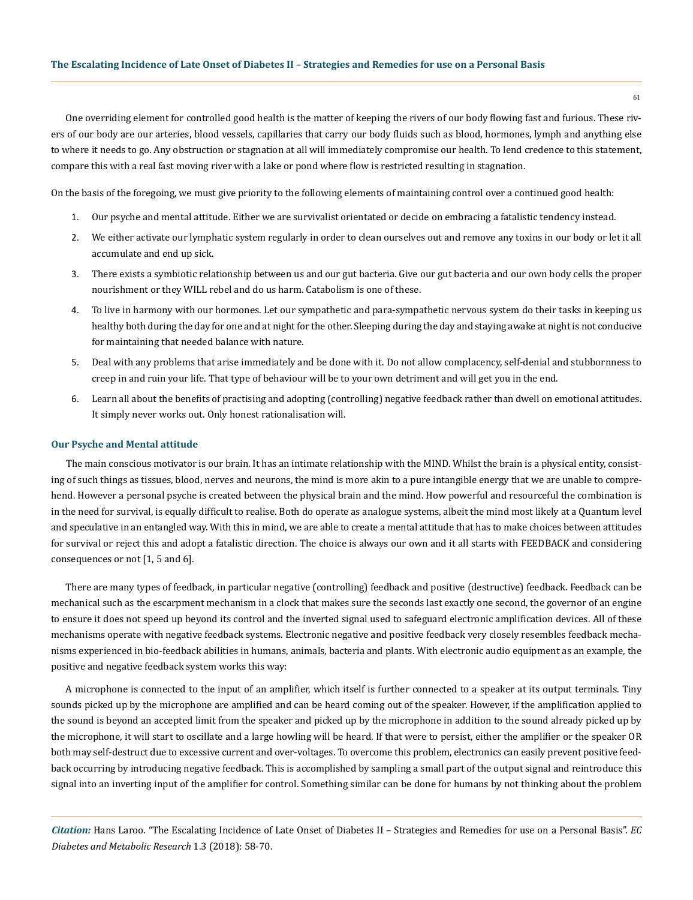One overriding element for controlled good health is the matter of keeping the rivers of our body flowing fast and furious. These rivers of our body are our arteries, blood vessels, capillaries that carry our body fluids such as blood, hormones, lymph and anything else to where it needs to go. Any obstruction or stagnation at all will immediately compromise our health. To lend credence to this statement, compare this with a real fast moving river with a lake or pond where flow is restricted resulting in stagnation.

On the basis of the foregoing, we must give priority to the following elements of maintaining control over a continued good health:

- 1. Our psyche and mental attitude. Either we are survivalist orientated or decide on embracing a fatalistic tendency instead.
- 2. We either activate our lymphatic system regularly in order to clean ourselves out and remove any toxins in our body or let it all accumulate and end up sick.
- 3. There exists a symbiotic relationship between us and our gut bacteria. Give our gut bacteria and our own body cells the proper nourishment or they WILL rebel and do us harm. Catabolism is one of these.
- 4. To live in harmony with our hormones. Let our sympathetic and para-sympathetic nervous system do their tasks in keeping us healthy both during the day for one and at night for the other. Sleeping during the day and staying awake at night is not conducive for maintaining that needed balance with nature.
- 5. Deal with any problems that arise immediately and be done with it. Do not allow complacency, self-denial and stubbornness to creep in and ruin your life. That type of behaviour will be to your own detriment and will get you in the end.
- 6. Learn all about the benefits of practising and adopting (controlling) negative feedback rather than dwell on emotional attitudes. It simply never works out. Only honest rationalisation will.

# **Our Psyche and Mental attitude**

The main conscious motivator is our brain. It has an intimate relationship with the MIND. Whilst the brain is a physical entity, consisting of such things as tissues, blood, nerves and neurons, the mind is more akin to a pure intangible energy that we are unable to comprehend. However a personal psyche is created between the physical brain and the mind. How powerful and resourceful the combination is in the need for survival, is equally difficult to realise. Both do operate as analogue systems, albeit the mind most likely at a Quantum level and speculative in an entangled way. With this in mind, we are able to create a mental attitude that has to make choices between attitudes for survival or reject this and adopt a fatalistic direction. The choice is always our own and it all starts with FEEDBACK and considering consequences or not [1, 5 and 6].

There are many types of feedback, in particular negative (controlling) feedback and positive (destructive) feedback. Feedback can be mechanical such as the escarpment mechanism in a clock that makes sure the seconds last exactly one second, the governor of an engine to ensure it does not speed up beyond its control and the inverted signal used to safeguard electronic amplification devices. All of these mechanisms operate with negative feedback systems. Electronic negative and positive feedback very closely resembles feedback mechanisms experienced in bio-feedback abilities in humans, animals, bacteria and plants. With electronic audio equipment as an example, the positive and negative feedback system works this way:

A microphone is connected to the input of an amplifier, which itself is further connected to a speaker at its output terminals. Tiny sounds picked up by the microphone are amplified and can be heard coming out of the speaker. However, if the amplification applied to the sound is beyond an accepted limit from the speaker and picked up by the microphone in addition to the sound already picked up by the microphone, it will start to oscillate and a large howling will be heard. If that were to persist, either the amplifier or the speaker OR both may self-destruct due to excessive current and over-voltages. To overcome this problem, electronics can easily prevent positive feedback occurring by introducing negative feedback. This is accomplished by sampling a small part of the output signal and reintroduce this signal into an inverting input of the amplifier for control. Something similar can be done for humans by not thinking about the problem

*Citation:* Hans Laroo. "The Escalating Incidence of Late Onset of Diabetes II – Strategies and Remedies for use on a Personal Basis". *EC Diabetes and Metabolic Research* 1.3 (2018): 58-70.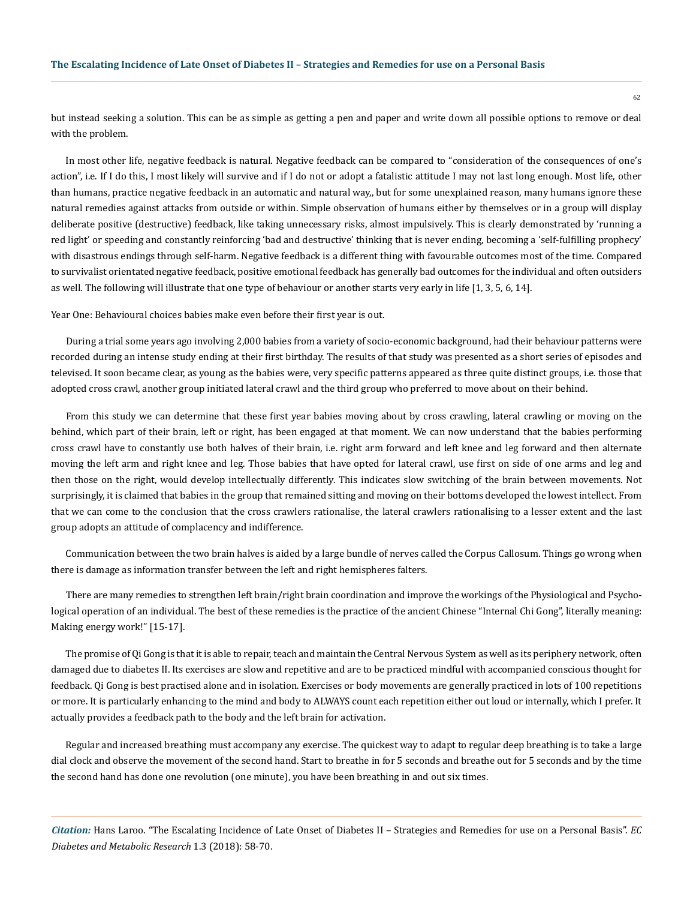but instead seeking a solution. This can be as simple as getting a pen and paper and write down all possible options to remove or deal with the problem.

In most other life, negative feedback is natural. Negative feedback can be compared to "consideration of the consequences of one's action", i.e. If I do this, I most likely will survive and if I do not or adopt a fatalistic attitude I may not last long enough. Most life, other than humans, practice negative feedback in an automatic and natural way,, but for some unexplained reason, many humans ignore these natural remedies against attacks from outside or within. Simple observation of humans either by themselves or in a group will display deliberate positive (destructive) feedback, like taking unnecessary risks, almost impulsively. This is clearly demonstrated by 'running a red light' or speeding and constantly reinforcing 'bad and destructive' thinking that is never ending, becoming a 'self-fulfilling prophecy' with disastrous endings through self-harm. Negative feedback is a different thing with favourable outcomes most of the time. Compared to survivalist orientated negative feedback, positive emotional feedback has generally bad outcomes for the individual and often outsiders as well. The following will illustrate that one type of behaviour or another starts very early in life [1, 3, 5, 6, 14].

Year One: Behavioural choices babies make even before their first year is out.

During a trial some years ago involving 2,000 babies from a variety of socio-economic background, had their behaviour patterns were recorded during an intense study ending at their first birthday. The results of that study was presented as a short series of episodes and televised. It soon became clear, as young as the babies were, very specific patterns appeared as three quite distinct groups, i.e. those that adopted cross crawl, another group initiated lateral crawl and the third group who preferred to move about on their behind.

From this study we can determine that these first year babies moving about by cross crawling, lateral crawling or moving on the behind, which part of their brain, left or right, has been engaged at that moment. We can now understand that the babies performing cross crawl have to constantly use both halves of their brain, i.e. right arm forward and left knee and leg forward and then alternate moving the left arm and right knee and leg. Those babies that have opted for lateral crawl, use first on side of one arms and leg and then those on the right, would develop intellectually differently. This indicates slow switching of the brain between movements. Not surprisingly, it is claimed that babies in the group that remained sitting and moving on their bottoms developed the lowest intellect. From that we can come to the conclusion that the cross crawlers rationalise, the lateral crawlers rationalising to a lesser extent and the last group adopts an attitude of complacency and indifference.

Communication between the two brain halves is aided by a large bundle of nerves called the Corpus Callosum. Things go wrong when there is damage as information transfer between the left and right hemispheres falters.

There are many remedies to strengthen left brain/right brain coordination and improve the workings of the Physiological and Psychological operation of an individual. The best of these remedies is the practice of the ancient Chinese "Internal Chi Gong", literally meaning: Making energy work!" [15-17].

The promise of Qi Gong is that it is able to repair, teach and maintain the Central Nervous System as well as its periphery network, often damaged due to diabetes II. Its exercises are slow and repetitive and are to be practiced mindful with accompanied conscious thought for feedback. Qi Gong is best practised alone and in isolation. Exercises or body movements are generally practiced in lots of 100 repetitions or more. It is particularly enhancing to the mind and body to ALWAYS count each repetition either out loud or internally, which I prefer. It actually provides a feedback path to the body and the left brain for activation.

Regular and increased breathing must accompany any exercise. The quickest way to adapt to regular deep breathing is to take a large dial clock and observe the movement of the second hand. Start to breathe in for 5 seconds and breathe out for 5 seconds and by the time the second hand has done one revolution (one minute), you have been breathing in and out six times.

*Citation:* Hans Laroo. "The Escalating Incidence of Late Onset of Diabetes II – Strategies and Remedies for use on a Personal Basis". *EC Diabetes and Metabolic Research* 1.3 (2018): 58-70.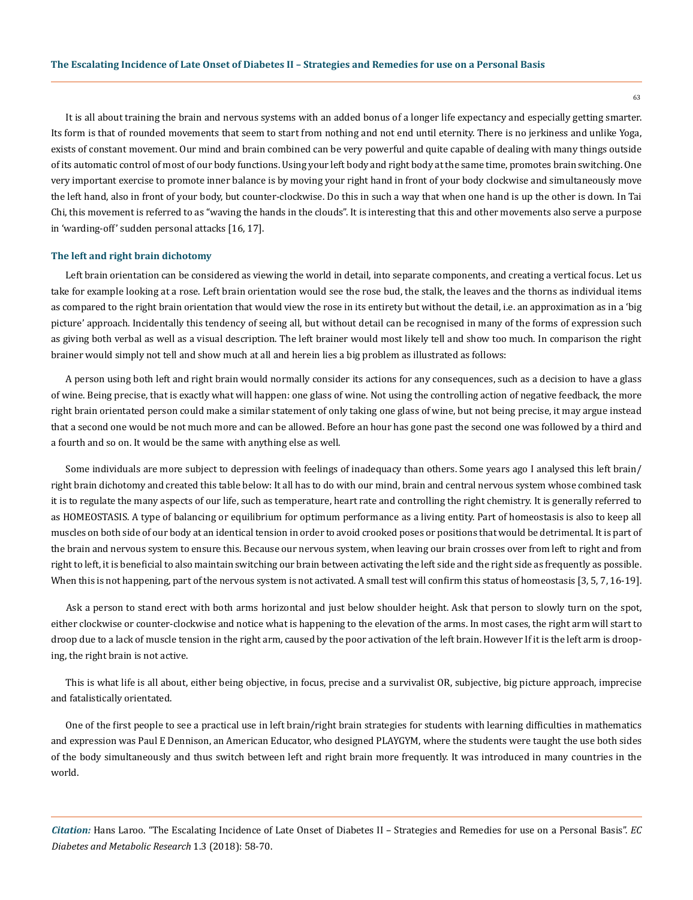It is all about training the brain and nervous systems with an added bonus of a longer life expectancy and especially getting smarter. Its form is that of rounded movements that seem to start from nothing and not end until eternity. There is no jerkiness and unlike Yoga, exists of constant movement. Our mind and brain combined can be very powerful and quite capable of dealing with many things outside of its automatic control of most of our body functions. Using your left body and right body at the same time, promotes brain switching. One very important exercise to promote inner balance is by moving your right hand in front of your body clockwise and simultaneously move the left hand, also in front of your body, but counter-clockwise. Do this in such a way that when one hand is up the other is down. In Tai Chi, this movement is referred to as "waving the hands in the clouds". It is interesting that this and other movements also serve a purpose in 'warding-off' sudden personal attacks [16, 17].

#### **The left and right brain dichotomy**

Left brain orientation can be considered as viewing the world in detail, into separate components, and creating a vertical focus. Let us take for example looking at a rose. Left brain orientation would see the rose bud, the stalk, the leaves and the thorns as individual items as compared to the right brain orientation that would view the rose in its entirety but without the detail, i.e. an approximation as in a 'big picture' approach. Incidentally this tendency of seeing all, but without detail can be recognised in many of the forms of expression such as giving both verbal as well as a visual description. The left brainer would most likely tell and show too much. In comparison the right brainer would simply not tell and show much at all and herein lies a big problem as illustrated as follows:

A person using both left and right brain would normally consider its actions for any consequences, such as a decision to have a glass of wine. Being precise, that is exactly what will happen: one glass of wine. Not using the controlling action of negative feedback, the more right brain orientated person could make a similar statement of only taking one glass of wine, but not being precise, it may argue instead that a second one would be not much more and can be allowed. Before an hour has gone past the second one was followed by a third and a fourth and so on. It would be the same with anything else as well.

Some individuals are more subject to depression with feelings of inadequacy than others. Some years ago I analysed this left brain/ right brain dichotomy and created this table below: It all has to do with our mind, brain and central nervous system whose combined task it is to regulate the many aspects of our life, such as temperature, heart rate and controlling the right chemistry. It is generally referred to as HOMEOSTASIS. A type of balancing or equilibrium for optimum performance as a living entity. Part of homeostasis is also to keep all muscles on both side of our body at an identical tension in order to avoid crooked poses or positions that would be detrimental. It is part of the brain and nervous system to ensure this. Because our nervous system, when leaving our brain crosses over from left to right and from right to left, it is beneficial to also maintain switching our brain between activating the left side and the right side as frequently as possible. When this is not happening, part of the nervous system is not activated. A small test will confirm this status of homeostasis [3, 5, 7, 16-19].

Ask a person to stand erect with both arms horizontal and just below shoulder height. Ask that person to slowly turn on the spot, either clockwise or counter-clockwise and notice what is happening to the elevation of the arms. In most cases, the right arm will start to droop due to a lack of muscle tension in the right arm, caused by the poor activation of the left brain. However If it is the left arm is drooping, the right brain is not active.

This is what life is all about, either being objective, in focus, precise and a survivalist OR, subjective, big picture approach, imprecise and fatalistically orientated.

One of the first people to see a practical use in left brain/right brain strategies for students with learning difficulties in mathematics and expression was Paul E Dennison, an American Educator, who designed PLAYGYM, where the students were taught the use both sides of the body simultaneously and thus switch between left and right brain more frequently. It was introduced in many countries in the world.

*Citation:* Hans Laroo. "The Escalating Incidence of Late Onset of Diabetes II – Strategies and Remedies for use on a Personal Basis". *EC Diabetes and Metabolic Research* 1.3 (2018): 58-70.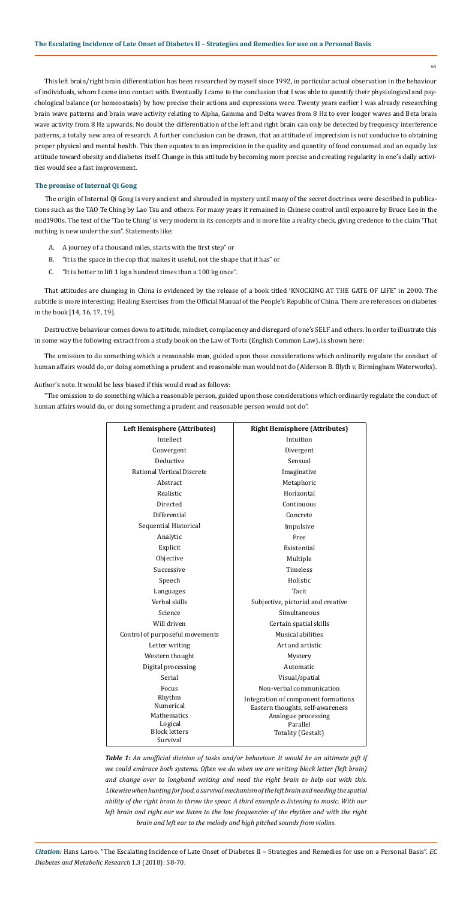*Citation:* Hans Laroo. "The Escalating Incidence of Late Onset of Diabetes II – Strategies and Remedies for use on a Personal Basis". *EC Diabetes and Metabolic Research* 1.3 (2018): 58-70.

This left brain/right brain differentiation has been researched by myself since 1992, in particular actual observation in the behaviour of individuals, whom I came into contact with. Eventually I came to the conclusion that I was able to quantify their physiological and psychological balance (or homeostasis) by how precise their actions and expressions were. Twenty years earlier I was already researching brain wave patterns and brain wave activity relating to Alpha, Gamma and Delta waves from 8 Hz to ever longer waves and Beta brain wave activity from 8 Hz upwards. No doubt the differentiation of the left and right brain can only be detected by frequency interference patterns, a totally new area of research. A further conclusion can be drawn, that an attitude of imprecision is not conducive to obtaining proper physical and mental health. This then equates to an imprecision in the quality and quantity of food consumed and an equally lax attitude toward obesity and diabetes itself. Change in this attitude by becoming more precise and creating regularity in one's daily activities would see a fast improvement.

## **The promise of Internal Qi Gong**

The origin of Internal Qi Gong is very ancient and shrouded in mystery until many of the secret doctrines were described in publications such as the TAO Te Ching by Lao Tsu and others. For many years it remained in Chinese control until exposure by Bruce Lee in the mid1900s. The text of the 'Tao te Ching' is very modern in its concepts and is more like a reality check, giving credence to the claim 'That nothing is new under the sun". Statements like:

- A. A journey of a thousand miles, starts with the first step" or
- B. "It is the space in the cup that makes it useful, not the shape that it has" or
- C. "It is better to lift 1 kg a hundred times than a 100 kg once".

That attitudes are changing in China is evidenced by the release of a book titled 'KNOCKING AT THE GATE OF LIFE" in 2000. The subtitle is more interesting: Healing Exercises from the Official Manual of the People's Republic of China. There are references on diabetes in the book [14, 16, 17, 19].

Destructive behaviour comes down to attitude, mindset, complacency and disregard of one's SELF and others. In order to illustrate this in some way the following extract from a study book on the Law of Torts (English Common Law), is shown here:

The omission to do something which a reasonable man, guided upon those considerations which ordinarily regulate the conduct of human affairs would do, or doing something a prudent and reasonable man would not do (Alderson B. Blyth v, Birmingham Waterworks).

Author's note. It would be less biased if this would read as follows:

"The omission to do something which a reasonable person, guided upon those considerations which ordinarily regulate the conduct of human affairs would do, or doing something a prudent and reasonable person would not do".

| Left Hemisphere (Attributes)    | <b>Right Hemisphere (Attributes)</b> |  |  |
|---------------------------------|--------------------------------------|--|--|
| Intellect                       | Intuition                            |  |  |
| Convergent                      | Divergent                            |  |  |
| Deductive                       | Sensual                              |  |  |
| Rational Vertical Discrete      | Imaginative                          |  |  |
| Abstract                        | Metaphoric                           |  |  |
| Realistic                       | Horizontal                           |  |  |
| Directed                        | Continuous                           |  |  |
| Differential                    | Concrete                             |  |  |
| Sequential Historical           | Impulsive                            |  |  |
| Analytic                        | Free                                 |  |  |
| Explicit                        | Existential                          |  |  |
| Objective                       | Multiple                             |  |  |
| Successive                      | Timeless                             |  |  |
| Speech                          | Holistic                             |  |  |
| Languages                       | Tacit                                |  |  |
| Verbal skills                   | Subjective, pictorial and creative   |  |  |
| Science                         | Simultaneous                         |  |  |
| Will driven                     | Certain spatial skills               |  |  |
| Control of purposeful movements | Musical abilities                    |  |  |
| Letter writing                  | Art and artistic                     |  |  |
| Western thought                 | Mystery                              |  |  |
| Digital processing              | Automatic                            |  |  |
| Serial                          | Visual/spatial                       |  |  |
| Focus                           | Non-verbal communication             |  |  |

| Rhythm               | Integration of component formations |
|----------------------|-------------------------------------|
| Numerical            | Eastern thoughts, self-awareness    |
| Mathematics          | Analogue processing                 |
| Logical              | Parallel                            |
| <b>Block letters</b> | Totality (Gestalt)                  |
| Survival             |                                     |

*Table 1: An unofficial division of tasks and/or behaviour. It would be an ultimate gift if we could embrace both systems. Often we do when we are writing block letter (left brain) and change over to longhand writing and need the right brain to help out with this. Likewise when hunting for food, a survival mechanism of the left brain and needing the spatial ability of the right brain to throw the spear. A third example is listening to music. With our*  left brain and right ear we listen to the low frequencies of the rhythm and with the right *brain and left ear to the melody and high pitched sounds from violins.*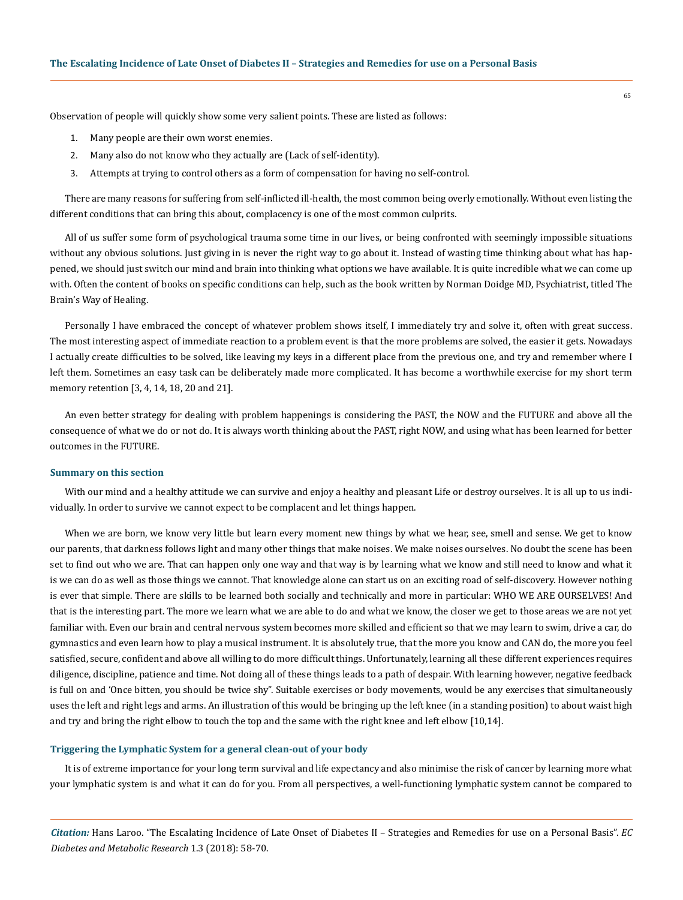Observation of people will quickly show some very salient points. These are listed as follows:

- 1. Many people are their own worst enemies.
- 2. Many also do not know who they actually are (Lack of self-identity).
- 3. Attempts at trying to control others as a form of compensation for having no self-control.

There are many reasons for suffering from self-inflicted ill-health, the most common being overly emotionally. Without even listing the different conditions that can bring this about, complacency is one of the most common culprits.

All of us suffer some form of psychological trauma some time in our lives, or being confronted with seemingly impossible situations without any obvious solutions. Just giving in is never the right way to go about it. Instead of wasting time thinking about what has happened, we should just switch our mind and brain into thinking what options we have available. It is quite incredible what we can come up with. Often the content of books on specific conditions can help, such as the book written by Norman Doidge MD, Psychiatrist, titled The Brain's Way of Healing.

Personally I have embraced the concept of whatever problem shows itself, I immediately try and solve it, often with great success. The most interesting aspect of immediate reaction to a problem event is that the more problems are solved, the easier it gets. Nowadays I actually create difficulties to be solved, like leaving my keys in a different place from the previous one, and try and remember where I left them. Sometimes an easy task can be deliberately made more complicated. It has become a worthwhile exercise for my short term memory retention [3, 4, 14, 18, 20 and 21].

An even better strategy for dealing with problem happenings is considering the PAST, the NOW and the FUTURE and above all the consequence of what we do or not do. It is always worth thinking about the PAST, right NOW, and using what has been learned for better outcomes in the FUTURE.

# **Summary on this section**

With our mind and a healthy attitude we can survive and enjoy a healthy and pleasant Life or destroy ourselves. It is all up to us individually. In order to survive we cannot expect to be complacent and let things happen.

When we are born, we know very little but learn every moment new things by what we hear, see, smell and sense. We get to know our parents, that darkness follows light and many other things that make noises. We make noises ourselves. No doubt the scene has been set to find out who we are. That can happen only one way and that way is by learning what we know and still need to know and what it is we can do as well as those things we cannot. That knowledge alone can start us on an exciting road of self-discovery. However nothing is ever that simple. There are skills to be learned both socially and technically and more in particular: WHO WE ARE OURSELVES! And that is the interesting part. The more we learn what we are able to do and what we know, the closer we get to those areas we are not yet familiar with. Even our brain and central nervous system becomes more skilled and efficient so that we may learn to swim, drive a car, do gymnastics and even learn how to play a musical instrument. It is absolutely true, that the more you know and CAN do, the more you feel satisfied, secure, confident and above all willing to do more difficult things. Unfortunately, learning all these different experiences requires diligence, discipline, patience and time. Not doing all of these things leads to a path of despair. With learning however, negative feedback is full on and 'Once bitten, you should be twice shy". Suitable exercises or body movements, would be any exercises that simultaneously uses the left and right legs and arms. An illustration of this would be bringing up the left knee (in a standing position) to about waist high and try and bring the right elbow to touch the top and the same with the right knee and left elbow [10,14].

#### **Triggering the Lymphatic System for a general clean-out of your body**

It is of extreme importance for your long term survival and life expectancy and also minimise the risk of cancer by learning more what your lymphatic system is and what it can do for you. From all perspectives, a well-functioning lymphatic system cannot be compared to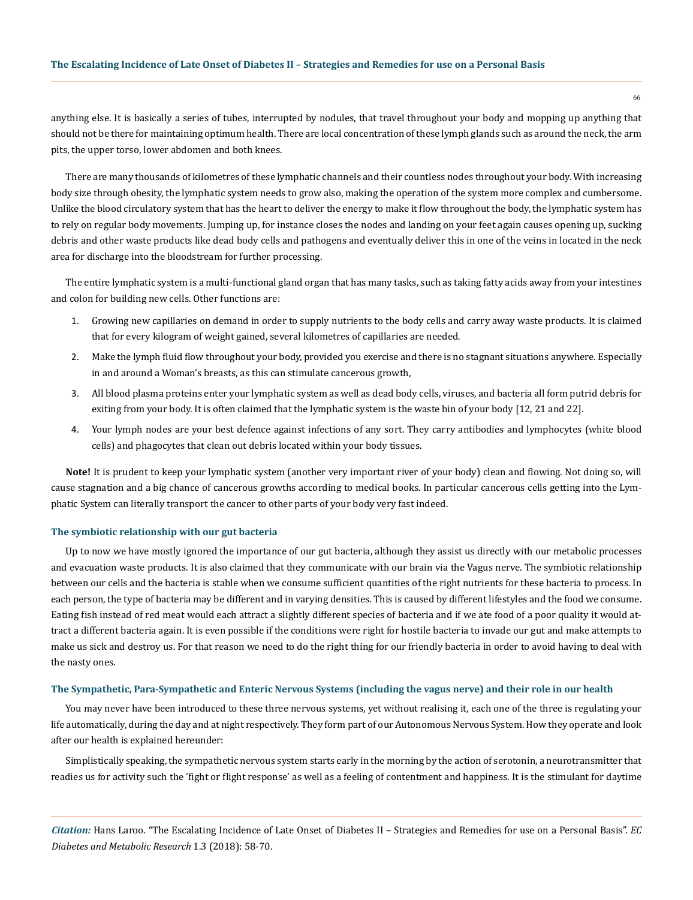## **The Escalating Incidence of Late Onset of Diabetes II – Strategies and Remedies for use on a Personal Basis**

anything else. It is basically a series of tubes, interrupted by nodules, that travel throughout your body and mopping up anything that should not be there for maintaining optimum health. There are local concentration of these lymph glands such as around the neck, the arm pits, the upper torso, lower abdomen and both knees.

There are many thousands of kilometres of these lymphatic channels and their countless nodes throughout your body. With increasing body size through obesity, the lymphatic system needs to grow also, making the operation of the system more complex and cumbersome. Unlike the blood circulatory system that has the heart to deliver the energy to make it flow throughout the body, the lymphatic system has to rely on regular body movements. Jumping up, for instance closes the nodes and landing on your feet again causes opening up, sucking debris and other waste products like dead body cells and pathogens and eventually deliver this in one of the veins in located in the neck area for discharge into the bloodstream for further processing.

The entire lymphatic system is a multi-functional gland organ that has many tasks, such as taking fatty acids away from your intestines and colon for building new cells. Other functions are:

- 1. Growing new capillaries on demand in order to supply nutrients to the body cells and carry away waste products. It is claimed that for every kilogram of weight gained, several kilometres of capillaries are needed.
- 2. Make the lymph fluid flow throughout your body, provided you exercise and there is no stagnant situations anywhere. Especially in and around a Woman's breasts, as this can stimulate cancerous growth,
- 3. All blood plasma proteins enter your lymphatic system as well as dead body cells, viruses, and bacteria all form putrid debris for exiting from your body. It is often claimed that the lymphatic system is the waste bin of your body [12, 21 and 22].
- 4. Your lymph nodes are your best defence against infections of any sort. They carry antibodies and lymphocytes (white blood cells) and phagocytes that clean out debris located within your body tissues.

**Note!** It is prudent to keep your lymphatic system (another very important river of your body) clean and flowing. Not doing so, will cause stagnation and a big chance of cancerous growths according to medical books. In particular cancerous cells getting into the Lymphatic System can literally transport the cancer to other parts of your body very fast indeed.

# **The symbiotic relationship with our gut bacteria**

Up to now we have mostly ignored the importance of our gut bacteria, although they assist us directly with our metabolic processes and evacuation waste products. It is also claimed that they communicate with our brain via the Vagus nerve. The symbiotic relationship between our cells and the bacteria is stable when we consume sufficient quantities of the right nutrients for these bacteria to process. In each person, the type of bacteria may be different and in varying densities. This is caused by different lifestyles and the food we consume. Eating fish instead of red meat would each attract a slightly different species of bacteria and if we ate food of a poor quality it would attract a different bacteria again. It is even possible if the conditions were right for hostile bacteria to invade our gut and make attempts to make us sick and destroy us. For that reason we need to do the right thing for our friendly bacteria in order to avoid having to deal with the nasty ones.

# **The Sympathetic, Para-Sympathetic and Enteric Nervous Systems (including the vagus nerve) and their role in our health**

You may never have been introduced to these three nervous systems, yet without realising it, each one of the three is regulating your life automatically, during the day and at night respectively. They form part of our Autonomous Nervous System. How they operate and look after our health is explained hereunder:

Simplistically speaking, the sympathetic nervous system starts early in the morning by the action of serotonin, a neurotransmitter that readies us for activity such the 'fight or flight response' as well as a feeling of contentment and happiness. It is the stimulant for daytime

*Citation:* Hans Laroo. "The Escalating Incidence of Late Onset of Diabetes II – Strategies and Remedies for use on a Personal Basis". *EC Diabetes and Metabolic Research* 1.3 (2018): 58-70.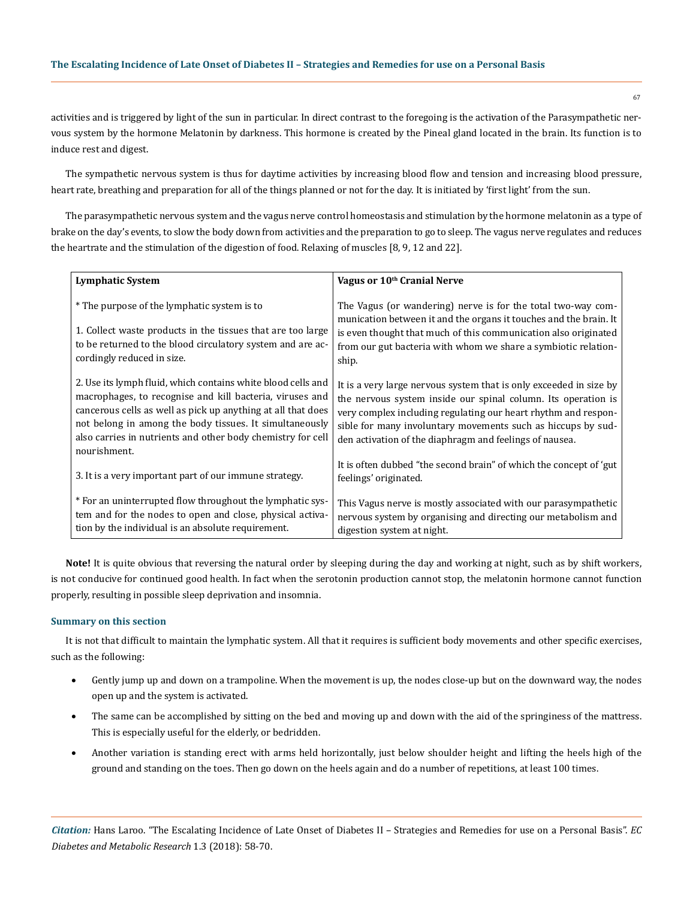activities and is triggered by light of the sun in particular. In direct contrast to the foregoing is the activation of the Parasympathetic nervous system by the hormone Melatonin by darkness. This hormone is created by the Pineal gland located in the brain. Its function is to induce rest and digest.

The sympathetic nervous system is thus for daytime activities by increasing blood flow and tension and increasing blood pressure, heart rate, breathing and preparation for all of the things planned or not for the day. It is initiated by 'first light' from the sun.

The parasympathetic nervous system and the vagus nerve control homeostasis and stimulation by the hormone melatonin as a type of brake on the day's events, to slow the body down from activities and the preparation to go to sleep. The vagus nerve regulates and reduces the heartrate and the stimulation of the digestion of food. Relaxing of muscles [8, 9, 12 and 22].

| <b>Lymphatic System</b>                                                                                                                                                                                                                                                                                                            | Vagus or 10 <sup>th</sup> Cranial Nerve                                                                                                                                                                                                                                                                                          |  |  |
|------------------------------------------------------------------------------------------------------------------------------------------------------------------------------------------------------------------------------------------------------------------------------------------------------------------------------------|----------------------------------------------------------------------------------------------------------------------------------------------------------------------------------------------------------------------------------------------------------------------------------------------------------------------------------|--|--|
| * The purpose of the lymphatic system is to<br>1. Collect waste products in the tissues that are too large<br>to be returned to the blood circulatory system and are ac-<br>cordingly reduced in size.                                                                                                                             | The Vagus (or wandering) nerve is for the total two-way com-<br>munication between it and the organs it touches and the brain. It<br>is even thought that much of this communication also originated<br>from our gut bacteria with whom we share a symbiotic relation-<br>ship.                                                  |  |  |
| 2. Use its lymph fluid, which contains white blood cells and<br>macrophages, to recognise and kill bacteria, viruses and<br>cancerous cells as well as pick up anything at all that does<br>not belong in among the body tissues. It simultaneously<br>also carries in nutrients and other body chemistry for cell<br>nourishment. | It is a very large nervous system that is only exceeded in size by<br>the nervous system inside our spinal column. Its operation is<br>very complex including regulating our heart rhythm and respon-<br>sible for many involuntary movements such as hiccups by sud-<br>den activation of the diaphragm and feelings of nausea. |  |  |
| 3. It is a very important part of our immune strategy.                                                                                                                                                                                                                                                                             | It is often dubbed "the second brain" of which the concept of 'gut<br>feelings' originated.                                                                                                                                                                                                                                      |  |  |
| * For an uninterrupted flow throughout the lymphatic sys-<br>tem and for the nodes to open and close, physical activa-<br>tion by the individual is an absolute requirement.                                                                                                                                                       | This Vagus nerve is mostly associated with our parasympathetic<br>nervous system by organising and directing our metabolism and<br>digestion system at night.                                                                                                                                                                    |  |  |

Note! It is quite obvious that reversing the natural order by sleeping during the day and working at night, such as by shift workers, is not conducive for continued good health. In fact when the serotonin production cannot stop, the melatonin hormone cannot function properly, resulting in possible sleep deprivation and insomnia.

## **Summary on this section**

It is not that difficult to maintain the lymphatic system. All that it requires is sufficient body movements and other specific exercises, such as the following:

- Gently jump up and down on a trampoline. When the movement is up, the nodes close-up but on the downward way, the nodes open up and the system is activated.
- The same can be accomplished by sitting on the bed and moving up and down with the aid of the springiness of the mattress. This is especially useful for the elderly, or bedridden.
- Another variation is standing erect with arms held horizontally, just below shoulder height and lifting the heels high of the ground and standing on the toes. Then go down on the heels again and do a number of repetitions, at least 100 times.

*Citation:* Hans Laroo. "The Escalating Incidence of Late Onset of Diabetes II – Strategies and Remedies for use on a Personal Basis". *EC Diabetes and Metabolic Research* 1.3 (2018): 58-70.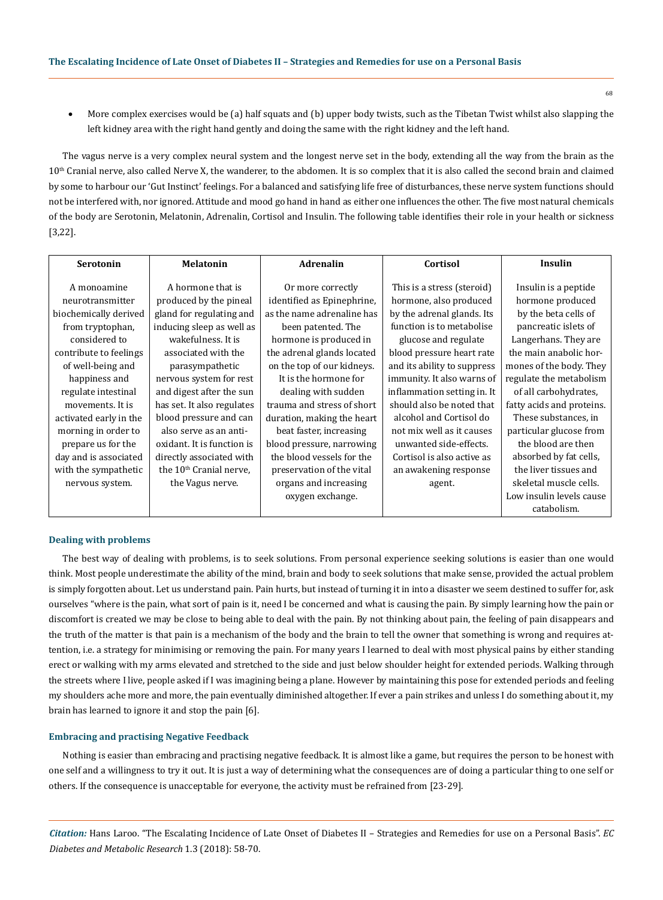More complex exercises would be (a) half squats and (b) upper body twists, such as the Tibetan Twist whilst also slapping the left kidney area with the right hand gently and doing the same with the right kidney and the left hand.

The vagus nerve is a very complex neural system and the longest nerve set in the body, extending all the way from the brain as the 10<sup>th</sup> Cranial nerve, also called Nerve X, the wanderer, to the abdomen. It is so complex that it is also called the second brain and claimed by some to harbour our 'Gut Instinct' feelings. For a balanced and satisfying life free of disturbances, these nerve system functions should not be interfered with, nor ignored. Attitude and mood go hand in hand as either one influences the other. The five most natural chemicals of the body are Serotonin, Melatonin, Adrenalin, Cortisol and Insulin. The following table identifies their role in your health or sickness [3,22].

| <b>Serotonin</b>       | <b>Melatonin</b>                    | <b>Adrenalin</b>           | Cortisol                    | Insulin                   |
|------------------------|-------------------------------------|----------------------------|-----------------------------|---------------------------|
| A monoamine            | A hormone that is                   | Or more correctly          | This is a stress (steroid)  | Insulin is a peptide      |
|                        |                                     |                            |                             |                           |
| neurotransmitter       | produced by the pineal              | identified as Epinephrine, | hormone, also produced      | hormone produced          |
| biochemically derived  | gland for regulating and            | as the name adrenaline has | by the adrenal glands. Its  | by the beta cells of      |
| from tryptophan,       | inducing sleep as well as           | been patented. The         | function is to metabolise   | pancreatic islets of      |
| considered to          | wakefulness. It is                  | hormone is produced in     | glucose and regulate        | Langerhans. They are      |
| contribute to feelings | associated with the                 | the adrenal glands located | blood pressure heart rate   | the main anabolic hor-    |
| of well-being and      | parasympathetic                     | on the top of our kidneys. | and its ability to suppress | mones of the body. They   |
| happiness and          | nervous system for rest             | It is the hormone for      | immunity. It also warns of  | regulate the metabolism   |
| regulate intestinal    | and digest after the sun            | dealing with sudden        | inflammation setting in. It | of all carbohydrates,     |
| movements. It is       | has set. It also regulates          | trauma and stress of short | should also be noted that   | fatty acids and proteins. |
| activated early in the | blood pressure and can              | duration, making the heart | alcohol and Cortisol do     | These substances, in      |
| morning in order to    | also serve as an anti-              | beat faster, increasing    | not mix well as it causes   | particular glucose from   |
| prepare us for the     | oxidant. It is function is          | blood pressure, narrowing  | unwanted side-effects.      | the blood are then        |
| day and is associated  | directly associated with            | the blood vessels for the  | Cortisol is also active as  | absorbed by fat cells,    |
| with the sympathetic   | the 10 <sup>th</sup> Cranial nerve. | preservation of the vital  | an awakening response       | the liver tissues and     |
| nervous system.        | the Vagus nerve.                    | organs and increasing      | agent.                      | skeletal muscle cells.    |
|                        |                                     | oxygen exchange.           |                             | Low insulin levels cause  |
|                        |                                     |                            |                             | catabolism.               |

# **Dealing with problems**

The best way of dealing with problems, is to seek solutions. From personal experience seeking solutions is easier than one would think. Most people underestimate the ability of the mind, brain and body to seek solutions that make sense, provided the actual problem is simply forgotten about. Let us understand pain. Pain hurts, but instead of turning it in into a disaster we seem destined to suffer for, ask ourselves "where is the pain, what sort of pain is it, need I be concerned and what is causing the pain. By simply learning how the pain or discomfort is created we may be close to being able to deal with the pain. By not thinking about pain, the feeling of pain disappears and the truth of the matter is that pain is a mechanism of the body and the brain to tell the owner that something is wrong and requires attention, i.e. a strategy for minimising or removing the pain. For many years I learned to deal with most physical pains by either standing erect or walking with my arms elevated and stretched to the side and just below shoulder height for extended periods. Walking through the streets where I live, people asked if I was imagining being a plane. However by maintaining this pose for extended periods and feeling my shoulders ache more and more, the pain eventually diminished altogether. If ever a pain strikes and unless I do something about it, my brain has learned to ignore it and stop the pain [6].

#### **Embracing and practising Negative Feedback**

Nothing is easier than embracing and practising negative feedback. It is almost like a game, but requires the person to be honest with one self and a willingness to try it out. It is just a way of determining what the consequences are of doing a particular thing to one self or others. If the consequence is unacceptable for everyone, the activity must be refrained from [23-29].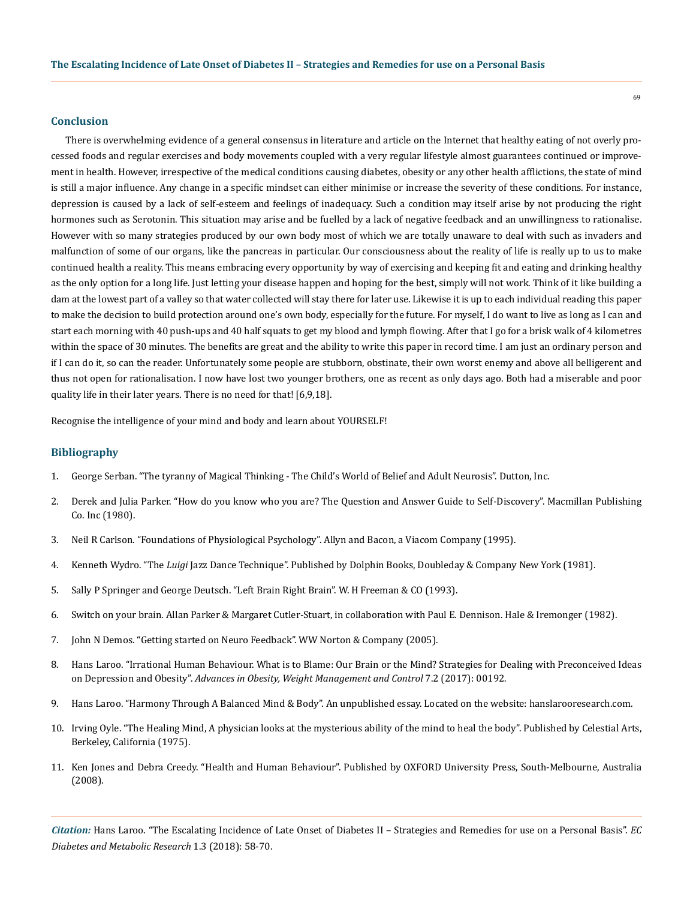# **Conclusion**

There is overwhelming evidence of a general consensus in literature and article on the Internet that healthy eating of not overly processed foods and regular exercises and body movements coupled with a very regular lifestyle almost guarantees continued or improvement in health. However, irrespective of the medical conditions causing diabetes, obesity or any other health afflictions, the state of mind is still a major influence. Any change in a specific mindset can either minimise or increase the severity of these conditions. For instance, depression is caused by a lack of self-esteem and feelings of inadequacy. Such a condition may itself arise by not producing the right hormones such as Serotonin. This situation may arise and be fuelled by a lack of negative feedback and an unwillingness to rationalise. However with so many strategies produced by our own body most of which we are totally unaware to deal with such as invaders and malfunction of some of our organs, like the pancreas in particular. Our consciousness about the reality of life is really up to us to make continued health a reality. This means embracing every opportunity by way of exercising and keeping fit and eating and drinking healthy as the only option for a long life. Just letting your disease happen and hoping for the best, simply will not work. Think of it like building a dam at the lowest part of a valley so that water collected will stay there for later use. Likewise it is up to each individual reading this paper to make the decision to build protection around one's own body, especially for the future. For myself, I do want to live as long as I can and start each morning with 40 push-ups and 40 half squats to get my blood and lymph flowing. After that I go for a brisk walk of 4 kilometres within the space of 30 minutes. The benefits are great and the ability to write this paper in record time. I am just an ordinary person and if I can do it, so can the reader. Unfortunately some people are stubborn, obstinate, their own worst enemy and above all belligerent and thus not open for rationalisation. I now have lost two younger brothers, one as recent as only days ago. Both had a miserable and poor quality life in their later years. There is no need for that! [6,9,18].

Recognise the intelligence of your mind and body and learn about YOURSELF!

# **Bibliography**

- 1. George Serban. "The tyranny of Magical Thinking The Child's World of Belief and Adult Neurosis". Dutton, Inc.
- 2. Derek and Julia Parker. "How do you know who you are? The Question and Answer Guide to Self-Discovery". Macmillan Publishing Co. Inc (1980).
- 3. Neil R Carlson. "Foundations of Physiological Psychology". Allyn and Bacon, a Viacom Company (1995).
- 4. Kenneth Wydro. "The *Luigi* Jazz Dance Technique". Published by Dolphin Books, Doubleday & Company New York (1981).
- 5. Sally P Springer and George Deutsch. "Left Brain Right Brain". W. H Freeman & CO (1993).
- 6. Switch on your brain. Allan Parker & Margaret Cutler-Stuart, in collaboration with Paul E. Dennison. Hale & Iremonger (1982).
- 7. [John N Demos. "Getting started on Neuro Feedback". WW Norton & Company \(2005\).](http://books.wwnorton.com/books/Getting-Started-with-Neurofeedback/)
- 8. [Hans Laroo. "Irrational Human Behaviour. What is to Blame: Our Brain or the Mind? Strategies for Dealing with Preconceived Ideas](http://medcraveonline.com/AOWMC/AOWMC-07-00192.pdf)  on Depression and Obesity". *[Advances in Obesity, Weight Management and Control](http://medcraveonline.com/AOWMC/AOWMC-07-00192.pdf)* 7.2 (2017): 00192.
- 9. [Hans Laroo. "Harmony Through A Balanced Mind & Body". An unpublished essay. Located on the](http://www.hanslarooresearch.com/art-download/hb3.pdf) website: hanslarooresearch.com.
- 10. Irving Oyle. "The Healing Mind, A physician looks at the mysterious ability of the mind to heal the body". Published by Celestial Arts, Berkeley, California (1975).
- 11. Ken Jones and Debra Creedy. "Health and Human Behaviour". Published by OXFORD University Press, South-Melbourne, Australia (2008).

*Citation:* Hans Laroo. "The Escalating Incidence of Late Onset of Diabetes II – Strategies and Remedies for use on a Personal Basis". *EC Diabetes and Metabolic Research* 1.3 (2018): 58-70.